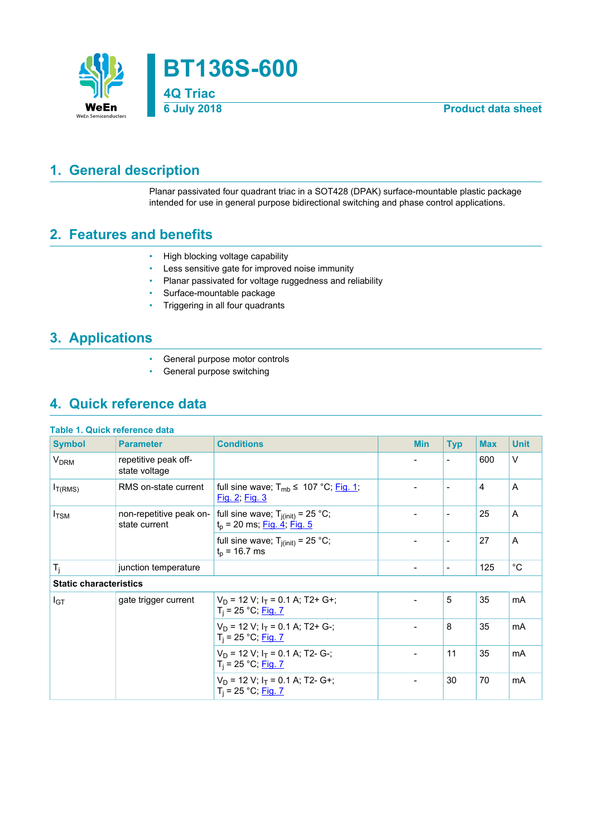

# <span id="page-0-0"></span>**1. General description**

Planar passivated four quadrant triac in a SOT428 (DPAK) surface-mountable plastic package intended for use in general purpose bidirectional switching and phase control applications.

# <span id="page-0-1"></span>**2. Features and benefits**

- High blocking voltage capability
- Less sensitive gate for improved noise immunity
- Planar passivated for voltage ruggedness and reliability
- Surface-mountable package
- Triggering in all four quadrants

# <span id="page-0-2"></span>**3. Applications**

- General purpose motor controls
- General purpose switching

# <span id="page-0-3"></span>**4. Quick reference data**

| <b>Table 1. Quick reference data</b> |                                          |                                                                                |                          |                          |            |             |
|--------------------------------------|------------------------------------------|--------------------------------------------------------------------------------|--------------------------|--------------------------|------------|-------------|
| <b>Symbol</b>                        | <b>Parameter</b>                         | <b>Conditions</b>                                                              | <b>Min</b>               | <b>Typ</b>               | <b>Max</b> | <b>Unit</b> |
| <b>V<sub>DRM</sub></b>               | repetitive peak off-<br>state voltage    |                                                                                |                          | $\overline{\phantom{a}}$ | 600        | $\vee$      |
| $I_{T(RMS)}$                         | RMS on-state current                     | full sine wave; $T_{mb} \leq 107 \degree C$ ; Fig. 1;<br><u>Fig. 2; Fig. 3</u> |                          | $\overline{\phantom{a}}$ | 4          | A           |
| $I_{\text{TSM}}$                     | non-repetitive peak on-<br>state current | full sine wave; $T_{j(int)} = 25 °C$ ;<br>$t_p$ = 20 ms; Fig. 4; Fig. 5        |                          | $\overline{\phantom{a}}$ | 25         | A           |
|                                      |                                          | full sine wave; $T_{j(int)} = 25$ °C;<br>$t_{p}$ = 16.7 ms                     |                          | $\overline{\phantom{a}}$ | 27         | A           |
| $T_j$                                | junction temperature                     |                                                                                | $\overline{\phantom{a}}$ | $\blacksquare$           | 125        | $^{\circ}C$ |
| <b>Static characteristics</b>        |                                          |                                                                                |                          |                          |            |             |
| I <sub>GT</sub>                      | gate trigger current                     | $V_D$ = 12 V; $I_T$ = 0.1 A; T2+ G+;<br>$T_i = 25 °C;$ Fig. 7                  |                          | 5                        | 35         | mA          |
|                                      |                                          | $V_D$ = 12 V; $I_T$ = 0.1 A; T2+ G-;<br>$T_i = 25 °C;$ Fig. 7                  |                          | 8                        | 35         | mA          |
|                                      |                                          | $V_D$ = 12 V; $I_T$ = 0.1 A; T2- G-;<br>$T_i = 25 °C;$ Fig. 7                  |                          | 11                       | 35         | mA          |
|                                      |                                          | $V_D$ = 12 V; $I_T$ = 0.1 A; T2- G+;<br>$T_i = 25 °C;$ Fig. 7                  |                          | 30                       | 70         | mA          |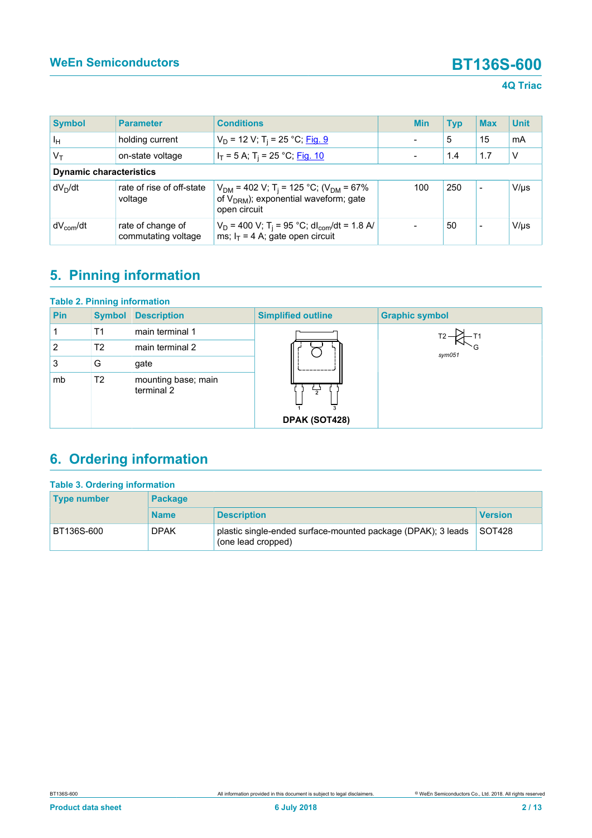## **4Q Triac**

| <b>Symbol</b>           | <b>Parameter</b>                         | <b>Conditions</b>                                                                                                                      |  | <b>Min</b> | <b>Typ</b> | <b>Max</b>               | <b>Unit</b> |
|-------------------------|------------------------------------------|----------------------------------------------------------------------------------------------------------------------------------------|--|------------|------------|--------------------------|-------------|
| ŀн                      | holding current                          | $V_D$ = 12 V; T <sub>i</sub> = 25 °C; <u>Fig. 9</u>                                                                                    |  |            | 5          | 15                       | mA          |
| $V_T$                   | on-state voltage                         | $I_T = 5$ A; T <sub>i</sub> = 25 °C; Fig. 10                                                                                           |  |            | 1.4        | 1.7                      | $\vee$      |
|                         | <b>Dynamic characteristics</b>           |                                                                                                                                        |  |            |            |                          |             |
| dV <sub>n</sub> /dt     | rate of rise of off-state<br>voltage     | $V_{DM}$ = 402 V; T <sub>i</sub> = 125 °C; (V <sub>DM</sub> = 67%<br>of V <sub>DRM</sub> ); exponential waveform; gate<br>open circuit |  | 100        | 250        | $\overline{\phantom{a}}$ | $V/\mu s$   |
| ∣ dV <sub>com</sub> /dt | rate of change of<br>commutating voltage | $V_D$ = 400 V; T <sub>i</sub> = 95 °C; dl <sub>com</sub> /dt = 1.8 A/<br>ms; $I_T = 4$ A; gate open circuit                            |  |            | 50         | $\overline{\phantom{0}}$ | $V/\mu s$   |

# <span id="page-1-0"></span>**5. Pinning information**

| <b>Table 2. Pinning information</b> |                |                                   |                           |                       |  |  |  |
|-------------------------------------|----------------|-----------------------------------|---------------------------|-----------------------|--|--|--|
| <b>Pin</b>                          | <b>Symbol</b>  | <b>Description</b>                | <b>Simplified outline</b> | <b>Graphic symbol</b> |  |  |  |
|                                     | T1             | main terminal 1                   |                           |                       |  |  |  |
| 2                                   | T <sub>2</sub> | main terminal 2                   |                           | $s$ ym $051$          |  |  |  |
| 3                                   | G              | gate                              |                           |                       |  |  |  |
| mb                                  | T <sub>2</sub> | mounting base; main<br>terminal 2 | DPAK (SOT428)             |                       |  |  |  |

# <span id="page-1-1"></span>**6. Ordering information**

| <b>Table 3. Ordering information</b> |                |                                                                                    |                |  |  |  |  |
|--------------------------------------|----------------|------------------------------------------------------------------------------------|----------------|--|--|--|--|
| <b>Type number</b>                   | <b>Package</b> |                                                                                    |                |  |  |  |  |
|                                      | <b>Name</b>    | <b>Description</b>                                                                 | <b>Version</b> |  |  |  |  |
| BT136S-600                           | <b>DPAK</b>    | plastic single-ended surface-mounted package (DPAK); 3 leads<br>(one lead cropped) | SOT428         |  |  |  |  |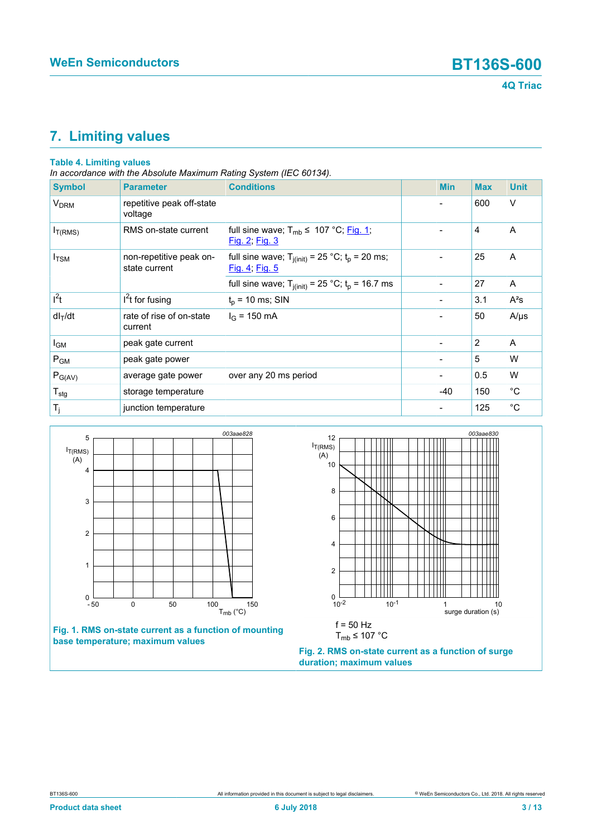

# <span id="page-2-2"></span>**7. Limiting values**

## **Table 4. Limiting values**

*In accordance with the Absolute Maximum Rating System (IEC 60134).*

| <b>Symbol</b>          | <b>Parameter</b>                         | <b>Conditions</b>                                                       | <b>Min</b>     | <b>Max</b> | <b>Unit</b> |
|------------------------|------------------------------------------|-------------------------------------------------------------------------|----------------|------------|-------------|
| <b>V<sub>DRM</sub></b> | repetitive peak off-state<br>voltage     |                                                                         |                | 600        | V           |
| $I_{T(RMS)}$           | RMS on-state current                     | full sine wave; $T_{mb} \leq 107 \degree C$ ; Fig. 1;<br>Fig. 2; Fig. 3 |                | 4          | A           |
| $I_{\text{TSM}}$       | non-repetitive peak on-<br>state current | full sine wave; $T_{j(int)} = 25 °C$ ; $t_p = 20$ ms;<br>Fig. 4; Fig. 5 |                | 25         | A           |
|                        |                                          | full sine wave; $T_{j(int)} = 25$ °C; $t_p = 16.7$ ms                   | -              | 27         | Α           |
| $l^2t$                 | $I2$ t for fusing                        | $t_p$ = 10 ms; SIN                                                      | $\blacksquare$ | 3.1        | $A^2s$      |
| $dl_T/dt$              | rate of rise of on-state<br>current      | $I_G$ = 150 mA                                                          |                | 50         | $A/\mu s$   |
| I <sub>GM</sub>        | peak gate current                        |                                                                         | -              | 2          | A           |
| $P_{GM}$               | peak gate power                          |                                                                         | -              | 5          | W           |
| $P_{G(AV)}$            | average gate power                       | over any 20 ms period                                                   | $\blacksquare$ | 0.5        | W           |
| $T_{\text{stg}}$       | storage temperature                      |                                                                         | $-40$          | 150        | $^{\circ}C$ |
| $T_j$                  | junction temperature                     |                                                                         |                | 125        | $^{\circ}C$ |

<span id="page-2-0"></span>



<span id="page-2-1"></span>

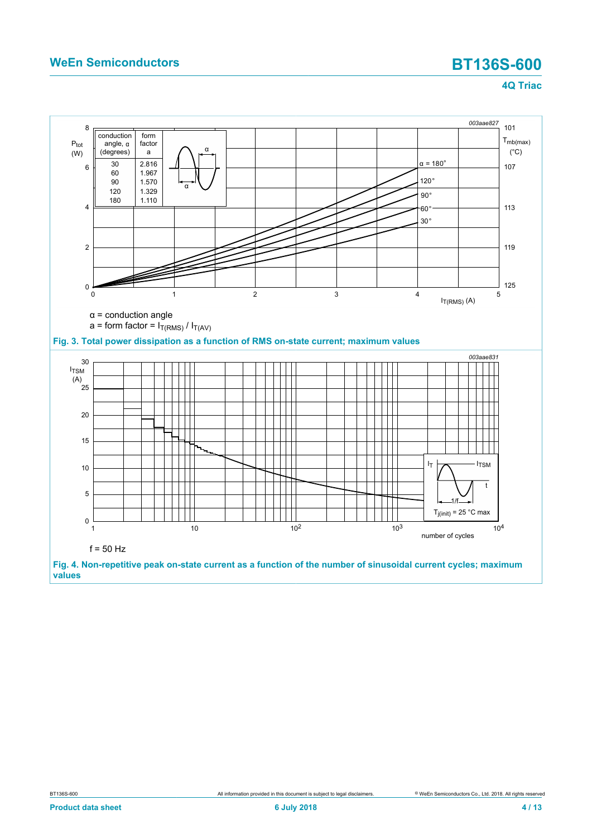<span id="page-3-1"></span><span id="page-3-0"></span>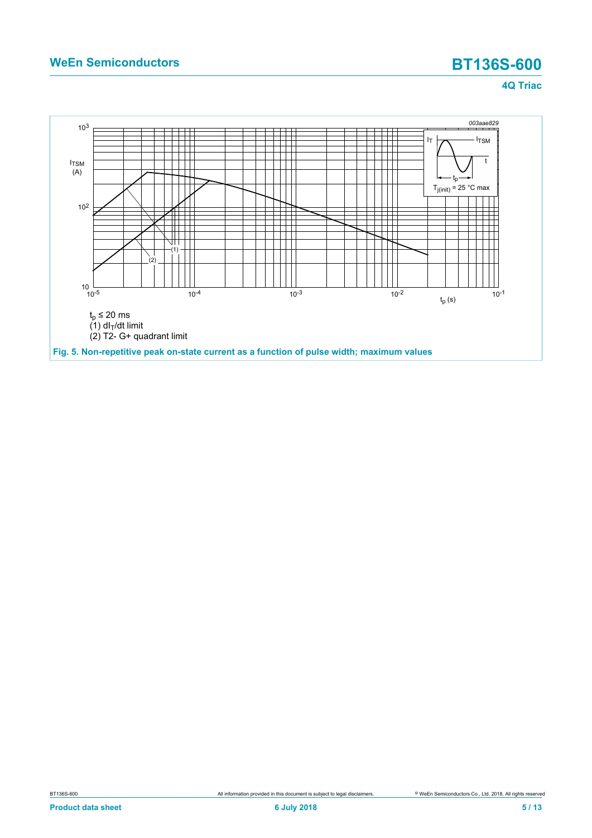<span id="page-4-0"></span>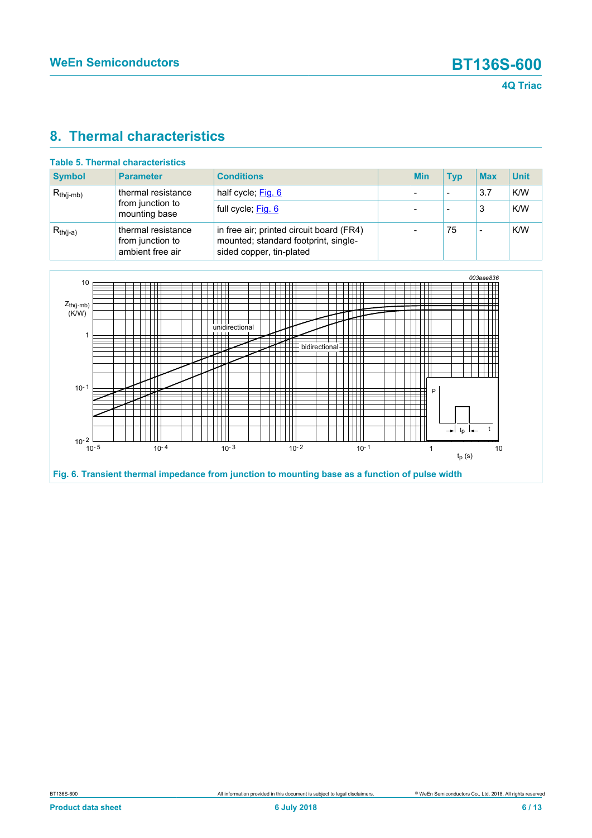# <span id="page-5-1"></span>**8. Thermal characteristics**

| <b>Symbol</b>  | <b>Parameter</b>                                           | <b>Conditions</b>                                                                                            | <b>Min</b> | <b>Typ</b> | <b>Max</b> | <b>Unit</b> |
|----------------|------------------------------------------------------------|--------------------------------------------------------------------------------------------------------------|------------|------------|------------|-------------|
| $R_{th(i-mb)}$ | thermal resistance<br>from junction to<br>mounting base    | half cycle; Fig. 6                                                                                           |            | -          | 3.7        | K/W         |
|                |                                                            | full cycle; Fig. 6                                                                                           |            |            | 3          | K/W         |
| $R_{th(i-a)}$  | thermal resistance<br>from junction to<br>ambient free air | in free air; printed circuit board (FR4)<br>mounted; standard footprint, single-<br>sided copper, tin-plated |            | 75         |            | K/W         |

<span id="page-5-0"></span>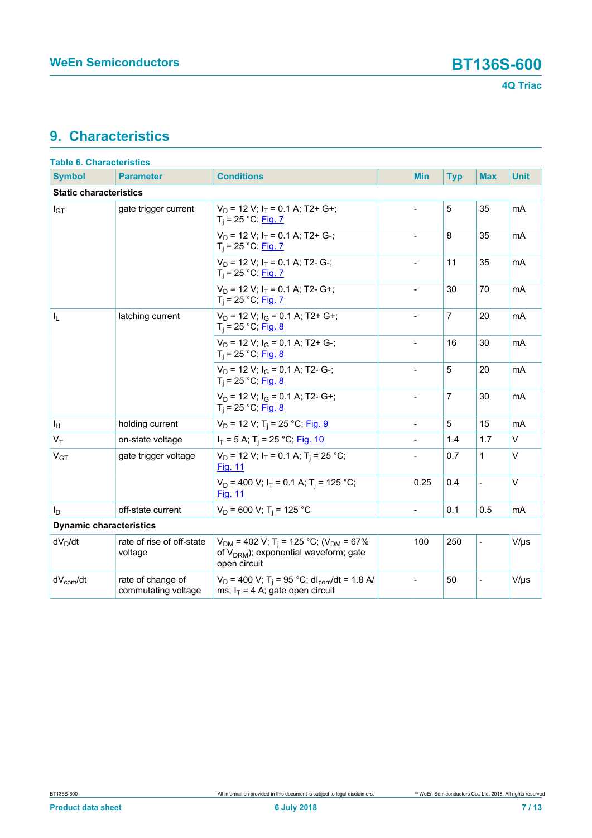# <span id="page-6-0"></span>**9. Characteristics**

| <b>Table 6. Characteristics</b> |                                          |                                                                                                                                 |                          |                |                          |             |  |  |
|---------------------------------|------------------------------------------|---------------------------------------------------------------------------------------------------------------------------------|--------------------------|----------------|--------------------------|-------------|--|--|
| <b>Symbol</b>                   | <b>Parameter</b>                         | <b>Conditions</b>                                                                                                               | <b>Min</b>               | <b>Typ</b>     | <b>Max</b>               | <b>Unit</b> |  |  |
|                                 | <b>Static characteristics</b>            |                                                                                                                                 |                          |                |                          |             |  |  |
| $I_{GT}$                        | gate trigger current                     | $V_D$ = 12 V; $I_T$ = 0.1 A; T2+ G+;<br>$T_i = 25 °C;$ Fig. 7                                                                   |                          | 5              | 35                       | mA          |  |  |
|                                 |                                          | $V_D$ = 12 V; $I_T$ = 0.1 A; T2+ G-;<br>$T_i = 25 °C;$ Fig. 7                                                                   |                          | 8              | 35                       | mA          |  |  |
|                                 |                                          | $V_D$ = 12 V; $I_T$ = 0.1 A; T2- G-;<br>$T_i = 25 °C;$ Fig. 7                                                                   |                          | 11             | 35                       | mA          |  |  |
|                                 |                                          | $V_D$ = 12 V; $I_T$ = 0.1 A; T2- G+;<br>$T_i = 25 °C;$ Fig. 7                                                                   | $\overline{\phantom{a}}$ | 30             | 70                       | mA          |  |  |
| I <sub>L</sub>                  | latching current                         | $V_D$ = 12 V; $I_G$ = 0.1 A; T2+ G+;<br>$T_i = 25 °C;$ Fig. 8                                                                   |                          | $\overline{7}$ | 20                       | mA          |  |  |
|                                 |                                          | $V_D$ = 12 V; $I_G$ = 0.1 A; T2+ G-;<br>$T_i = 25 °C;$ Fig. 8                                                                   | $\overline{\phantom{a}}$ | 16             | 30                       | mA          |  |  |
|                                 |                                          | $V_D$ = 12 V; $I_G$ = 0.1 A; T2- G-;<br>$T_i = 25 °C;$ Fig. 8                                                                   |                          | 5              | 20                       | mA          |  |  |
|                                 |                                          | $V_D$ = 12 V; $I_G$ = 0.1 A; T2- G+;<br>$T_i = 25 °C;$ Fig. 8                                                                   | $\overline{a}$           | $\overline{7}$ | 30                       | mA          |  |  |
| ΙH                              | holding current                          | $V_D$ = 12 V; T <sub>i</sub> = 25 °C; Fig. 9                                                                                    |                          | 5              | 15                       | mA          |  |  |
| $V_T$                           | on-state voltage                         | $I_T = 5$ A; T <sub>i</sub> = 25 °C; <u>Fig. 10</u>                                                                             |                          | 1.4            | 1.7                      | $\vee$      |  |  |
| V <sub>GT</sub>                 | gate trigger voltage                     | $V_D$ = 12 V; $I_T$ = 0.1 A; T <sub>i</sub> = 25 °C;<br><b>Fig. 11</b>                                                          |                          | 0.7            | 1                        | $\vee$      |  |  |
|                                 |                                          | $V_D$ = 400 V; $I_T$ = 0.1 A; T <sub>i</sub> = 125 °C;<br><b>Fig. 11</b>                                                        | 0.25                     | 0.4            | $\overline{\phantom{0}}$ | $\vee$      |  |  |
| l <sub>D</sub>                  | off-state current                        | $V_D$ = 600 V; T <sub>i</sub> = 125 °C                                                                                          | $\overline{a}$           | 0.1            | 0.5                      | mA          |  |  |
| <b>Dynamic characteristics</b>  |                                          |                                                                                                                                 |                          |                |                          |             |  |  |
| $dV_D/dt$                       | rate of rise of off-state<br>voltage     | $V_{DM}$ = 402 V; T <sub>i</sub> = 125 °C; (V <sub>DM</sub> = 67%<br>of $V_{DRM}$ ); exponential waveform; gate<br>open circuit | 100                      | 250            | $\overline{\phantom{0}}$ | $V/\mu s$   |  |  |
| $dV_{com}/dt$                   | rate of change of<br>commutating voltage | $V_D$ = 400 V; T <sub>i</sub> = 95 °C; dl <sub>com</sub> /dt = 1.8 A/<br>ms; $I_T = 4$ A; gate open circuit                     | $\blacksquare$           | 50             | $\overline{\phantom{a}}$ | $V/\mu s$   |  |  |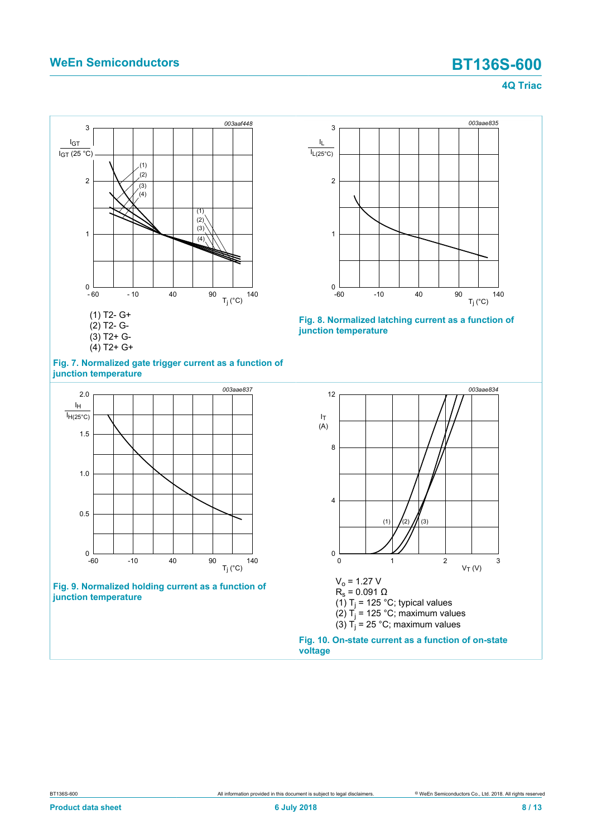<span id="page-7-0"></span>



<span id="page-7-1"></span>



<span id="page-7-3"></span>



<span id="page-7-2"></span>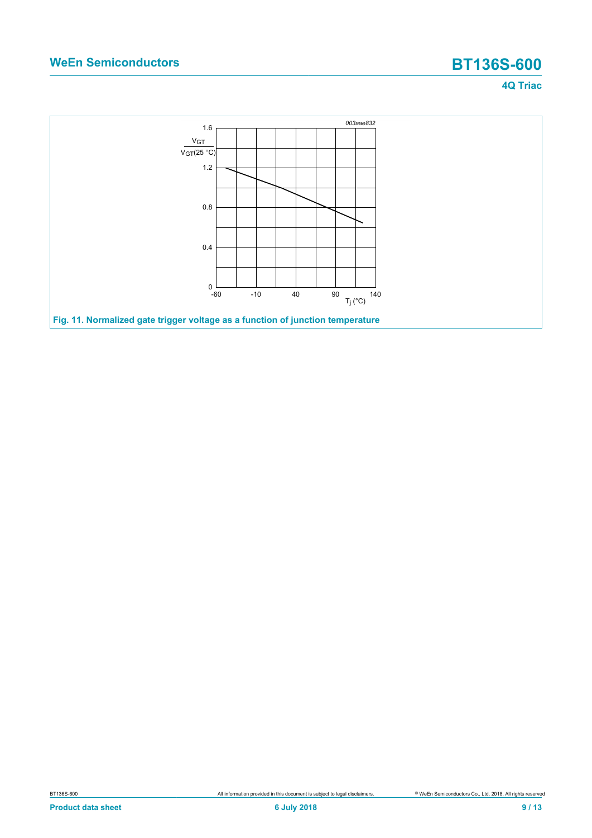<span id="page-8-0"></span>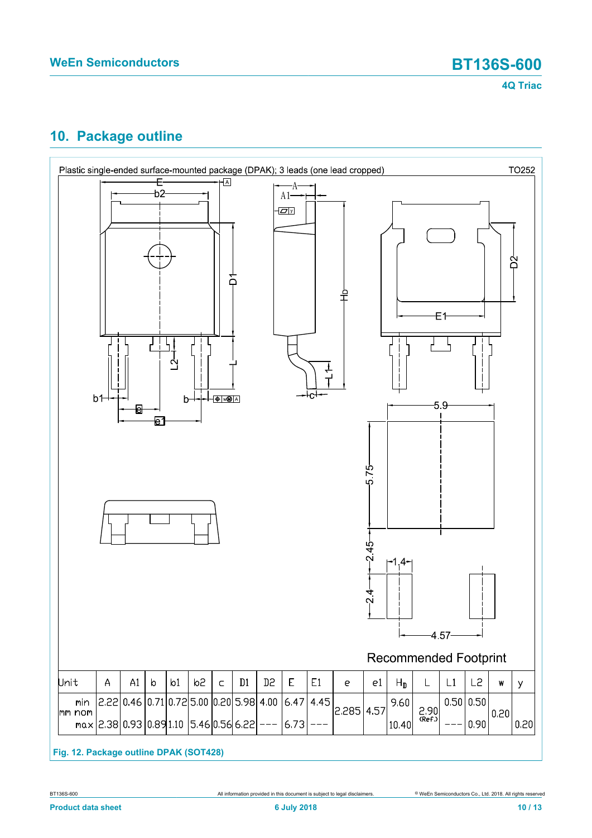

# <span id="page-9-0"></span>**10. Package outline**



**Fig. 12. Package outline DPAK (SOT428)**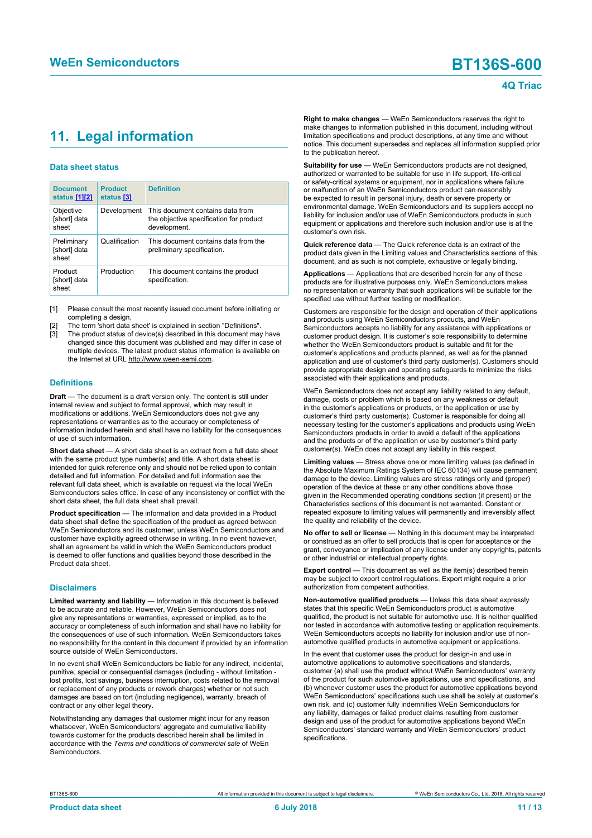# <span id="page-10-1"></span><span id="page-10-0"></span>**11. Legal information**

### **Data sheet status**

| <b>Document</b><br>status [1][2]     | <b>Product</b><br>status [3] | <b>Definition</b>                                                                           |
|--------------------------------------|------------------------------|---------------------------------------------------------------------------------------------|
| Objective<br>[short] data<br>sheet   | Development                  | This document contains data from<br>the objective specification for product<br>development. |
| Preliminary<br>[short] data<br>sheet | Qualification                | This document contains data from the<br>preliminary specification.                          |
| Product<br>[short] data<br>sheet     | Production                   | This document contains the product<br>specification.                                        |

[1] Please consult the most recently issued document before initiating or completing a design.

- The term 'short data sheet' is explained in section "Definitions".
- The product status of device(s) described in this document may have changed since this document was published and may differ in case of multiple devices. The latest product status information is available on the Internet at URL http://www.ween-semi.com.

### **Definitions**

**Draft** — The document is a draft version only. The content is still under internal review and subject to formal approval, which may result in modifications or additions. WeEn Semiconductors does not give any representations or warranties as to the accuracy or completeness of information included herein and shall have no liability for the consequences of use of such information.

**Short data sheet** — A short data sheet is an extract from a full data sheet with the same product type number(s) and title. A short data sheet is intended for quick reference only and should not be relied upon to contain detailed and full information. For detailed and full information see the relevant full data sheet, which is available on request via the local WeEn Semiconductors sales office. In case of any inconsistency or conflict with the short data sheet, the full data sheet shall prevail.

**Product specification** — The information and data provided in a Product data sheet shall define the specification of the product as agreed between WeEn Semiconductors and its customer, unless WeEn Semiconductors and customer have explicitly agreed otherwise in writing. In no event however, shall an agreement be valid in which the WeEn Semiconductors product is deemed to offer functions and qualities beyond those described in the Product data sheet.

### **Disclaimers**

**Limited warranty and liability** — Information in this document is believed to be accurate and reliable. However, WeEn Semiconductors does not give any representations or warranties, expressed or implied, as to the accuracy or completeness of such information and shall have no liability for the consequences of use of such information. WeEn Semiconductors takes no responsibility for the content in this document if provided by an information source outside of WeEn Semiconductors.

In no event shall WeEn Semiconductors be liable for any indirect, incidental, punitive, special or consequential damages (including - without limitation lost profits, lost savings, business interruption, costs related to the removal or replacement of any products or rework charges) whether or not such damages are based on tort (including negligence), warranty, breach of contract or any other legal theory.

Notwithstanding any damages that customer might incur for any reason whatsoever, WeEn Semiconductors' aggregate and cumulative liability towards customer for the products described herein shall be limited in accordance with the *Terms and conditions of commercial sale* of WeEn **Semiconductors** 

**Right to make changes** — WeEn Semiconductors reserves the right to make changes to information published in this document, including without limitation specifications and product descriptions, at any time and without notice. This document supersedes and replaces all information supplied prior to the publication hereof.

**Suitability for use** — WeEn Semiconductors products are not designed, authorized or warranted to be suitable for use in life support, life-critical or safety-critical systems or equipment, nor in applications where failure or malfunction of an WeEn Semiconductors product can reasonably be expected to result in personal injury, death or severe property or environmental damage. WeEn Semiconductors and its suppliers accept no liability for inclusion and/or use of WeEn Semiconductors products in such equipment or applications and therefore such inclusion and/or use is at the customer's own risk.

**Quick reference data** — The Quick reference data is an extract of the product data given in the Limiting values and Characteristics sections of this document, and as such is not complete, exhaustive or legally binding.

**Applications** — Applications that are described herein for any of these products are for illustrative purposes only. WeEn Semiconductors makes no representation or warranty that such applications will be suitable for the specified use without further testing or modification.

Customers are responsible for the design and operation of their applications and products using WeEn Semiconductors products, and WeEn Semiconductors accepts no liability for any assistance with applications or customer product design. It is customer's sole responsibility to determine whether the WeEn Semiconductors product is suitable and fit for the customer's applications and products planned, as well as for the planned application and use of customer's third party customer(s). Customers should provide appropriate design and operating safeguards to minimize the risks associated with their applications and products.

WeEn Semiconductors does not accept any liability related to any default, damage, costs or problem which is based on any weakness or default in the customer's applications or products, or the application or use by customer's third party customer(s). Customer is responsible for doing all necessary testing for the customer's applications and products using WeEn Semiconductors products in order to avoid a default of the applications and the products or of the application or use by customer's third party customer(s). WeEn does not accept any liability in this respect.

**Limiting values** — Stress above one or more limiting values (as defined in the Absolute Maximum Ratings System of IEC 60134) will cause permanent damage to the device. Limiting values are stress ratings only and (proper) operation of the device at these or any other conditions above those given in the Recommended operating conditions section (if present) or the Characteristics sections of this document is not warranted. Constant or repeated exposure to limiting values will permanently and irreversibly affect the quality and reliability of the device.

**No offer to sell or license** — Nothing in this document may be interpreted or construed as an offer to sell products that is open for acceptance or the grant, conveyance or implication of any license under any copyrights, patents or other industrial or intellectual property rights.

**Export control** — This document as well as the item(s) described herein may be subject to export control regulations. Export might require a prior authorization from competent authorities.

**Non-automotive qualified products** — Unless this data sheet expressly states that this specific WeEn Semiconductors product is automotive qualified, the product is not suitable for automotive use. It is neither qualified nor tested in accordance with automotive testing or application requirements. WeEn Semiconductors accepts no liability for inclusion and/or use of nonautomotive qualified products in automotive equipment or applications.

In the event that customer uses the product for design-in and use in automotive applications to automotive specifications and standards, customer (a) shall use the product without WeEn Semiconductors' warranty of the product for such automotive applications, use and specifications, and (b) whenever customer uses the product for automotive applications beyond WeEn Semiconductors' specifications such use shall be solely at customer's own risk, and (c) customer fully indemnifies WeEn Semiconductors for any liability, damages or failed product claims resulting from customer design and use of the product for automotive applications beyond WeEn Semiconductors' standard warranty and WeEn Semiconductors' product specifications.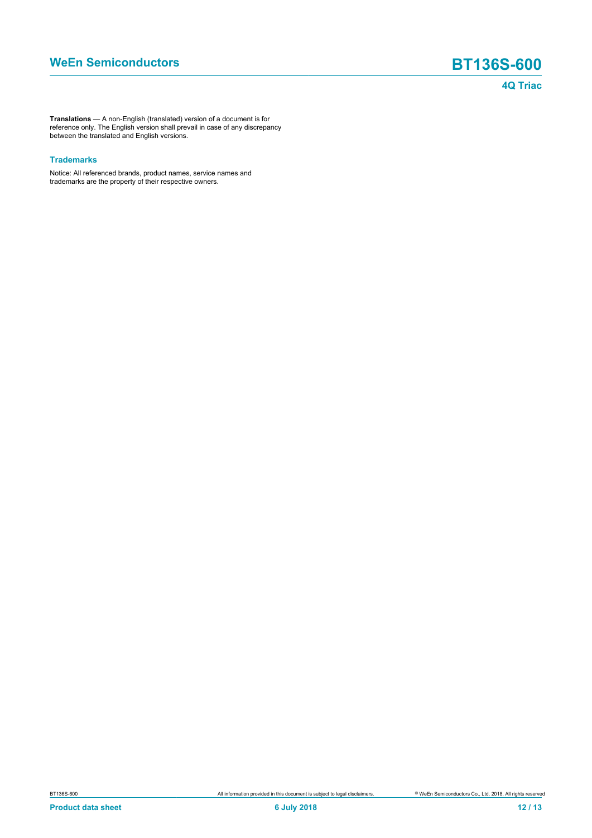**Translations** — A non-English (translated) version of a document is for reference only. The English version shall prevail in case of any discrepancy between the translated and English versions.

### **Trademarks**

Notice: All referenced brands, product names, service names and trademarks are the property of their respective owners.